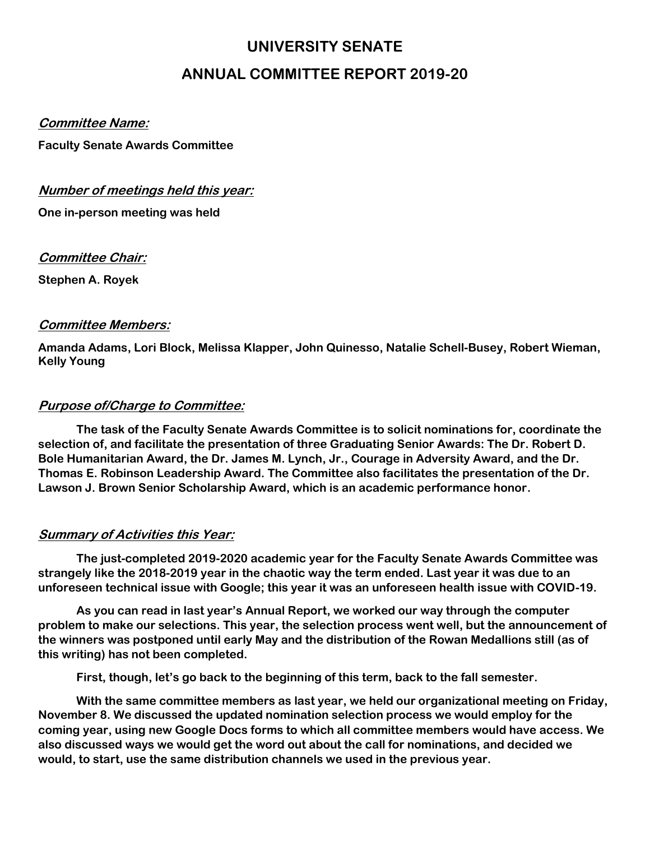# **UNIVERSITY SENATE ANNUAL COMMITTEE REPORT 2019-20**

#### **Committee Name:**

**Faculty Senate Awards Committee**

## **Number of meetings held this year:**

**One in-person meeting was held**

**Committee Chair:**

**Stephen A. Royek**

### **Committee Members:**

**Amanda Adams, Lori Block, Melissa Klapper, John Quinesso, Natalie Schell-Busey, Robert Wieman, Kelly Young**

## **Purpose of/Charge to Committee:**

**The task of the Faculty Senate Awards Committee is to solicit nominations for, coordinate the selection of, and facilitate the presentation of three Graduating Senior Awards: The Dr. Robert D. Bole Humanitarian Award, the Dr. James M. Lynch, Jr., Courage in Adversity Award, and the Dr. Thomas E. Robinson Leadership Award. The Committee also facilitates the presentation of the Dr. Lawson J. Brown Senior Scholarship Award, which is an academic performance honor.**

## **Summary of Activities this Year:**

**The just-completed 2019-2020 academic year for the Faculty Senate Awards Committee was strangely like the 2018-2019 year in the chaotic way the term ended. Last year it was due to an unforeseen technical issue with Google; this year it was an unforeseen health issue with COVID-19.**

**As you can read in last year's Annual Report, we worked our way through the computer problem to make our selections. This year, the selection process went well, but the announcement of the winners was postponed until early May and the distribution of the Rowan Medallions still (as of this writing) has not been completed.**

**First, though, let's go back to the beginning of this term, back to the fall semester.**

**With the same committee members as last year, we held our organizational meeting on Friday, November 8. We discussed the updated nomination selection process we would employ for the coming year, using new Google Docs forms to which all committee members would have access. We also discussed ways we would get the word out about the call for nominations, and decided we would, to start, use the same distribution channels we used in the previous year.**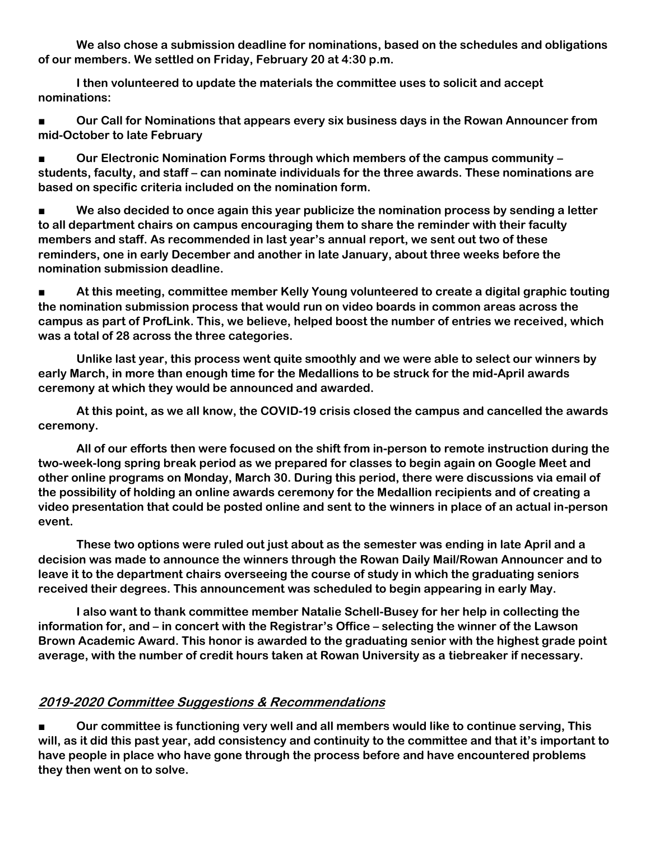**We also chose a submission deadline for nominations, based on the schedules and obligations of our members. We settled on Friday, February 20 at 4:30 p.m.**

**I then volunteered to update the materials the committee uses to solicit and accept nominations:**

■ **Our Call for Nominations that appears every six business days in the Rowan Announcer from mid-October to late February**

■ **Our Electronic Nomination Forms through which members of the campus community – students, faculty, and staff – can nominate individuals for the three awards. These nominations are based on specific criteria included on the nomination form.**

■ **We also decided to once again this year publicize the nomination process by sending a letter to all department chairs on campus encouraging them to share the reminder with their faculty members and staff. As recommended in last year's annual report, we sent out two of these reminders, one in early December and another in late January, about three weeks before the nomination submission deadline.**

■ At this meeting, committee member Kelly Young volunteered to create a digital graphic touting **the nomination submission process that would run on video boards in common areas across the campus as part of ProfLink. This, we believe, helped boost the number of entries we received, which was a total of 28 across the three categories.**

**Unlike last year, this process went quite smoothly and we were able to select our winners by early March, in more than enough time for the Medallions to be struck for the mid-April awards ceremony at which they would be announced and awarded.**

**At this point, as we all know, the COVID-19 crisis closed the campus and cancelled the awards ceremony.**

**All of our efforts then were focused on the shift from in-person to remote instruction during the two-week-long spring break period as we prepared for classes to begin again on Google Meet and other online programs on Monday, March 30. During this period, there were discussions via email of the possibility of holding an online awards ceremony for the Medallion recipients and of creating a video presentation that could be posted online and sent to the winners in place of an actual in-person event.**

**These two options were ruled out just about as the semester was ending in late April and a decision was made to announce the winners through the Rowan Daily Mail/Rowan Announcer and to leave it to the department chairs overseeing the course of study in which the graduating seniors received their degrees. This announcement was scheduled to begin appearing in early May.**

**I also want to thank committee member Natalie Schell-Busey for her help in collecting the information for, and – in concert with the Registrar's Office – selecting the winner of the Lawson Brown Academic Award. This honor is awarded to the graduating senior with the highest grade point average, with the number of credit hours taken at Rowan University as a tiebreaker if necessary.**

## **2019-2020 Committee Suggestions & Recommendations**

■ **Our committee is functioning very well and all members would like to continue serving, This will, as it did this past year, add consistency and continuity to the committee and that it's important to have people in place who have gone through the process before and have encountered problems they then went on to solve.**